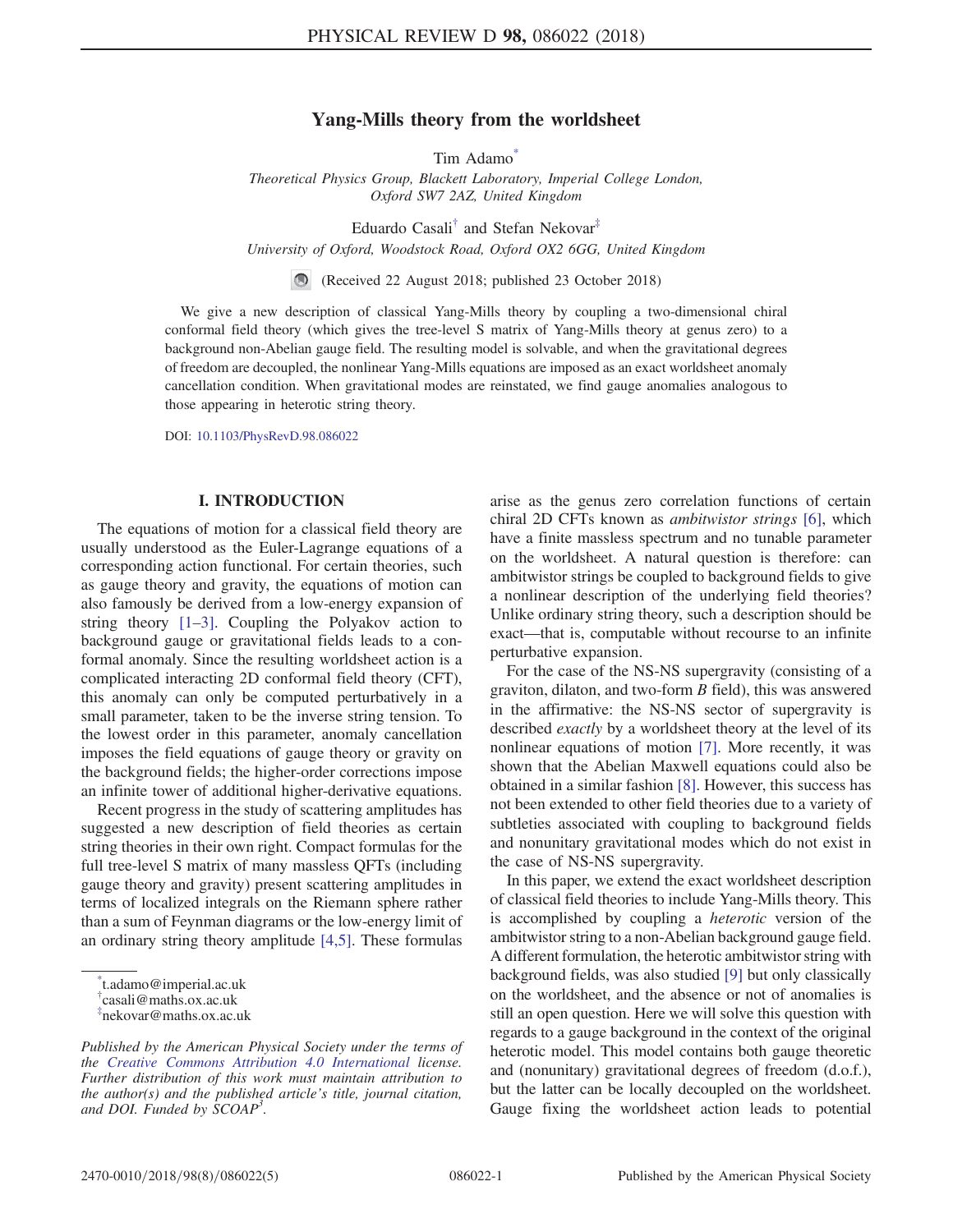# Yang-Mills theory from the worldsheet

Tim Adamo[\\*](#page-0-0)

<span id="page-0-3"></span>Theoretical Physics Group, Blackett Laboratory, Imperial College London, Oxford SW7 2AZ, United Kingdom

Eduardo Casali<sup>[†](#page-0-1)</sup> and Stefan Nekovar<sup>[‡](#page-0-2)</sup> University of Oxford, Woodstock Road, Oxford OX2 6GG, United Kingdom

(Received 22 August 2018; published 23 October 2018)

<span id="page-0-4"></span>We give a new description of classical Yang-Mills theory by coupling a two-dimensional chiral conformal field theory (which gives the tree-level S matrix of Yang-Mills theory at genus zero) to a background non-Abelian gauge field. The resulting model is solvable, and when the gravitational degrees of freedom are decoupled, the nonlinear Yang-Mills equations are imposed as an exact worldsheet anomaly cancellation condition. When gravitational modes are reinstated, we find gauge anomalies analogous to those appearing in heterotic string theory.

DOI: [10.1103/PhysRevD.98.086022](https://doi.org/10.1103/PhysRevD.98.086022)

## I. INTRODUCTION

The equations of motion for a classical field theory are usually understood as the Euler-Lagrange equations of a corresponding action functional. For certain theories, such as gauge theory and gravity, the equations of motion can also famously be derived from a low-energy expansion of string theory [1–[3\].](#page-4-0) Coupling the Polyakov action to background gauge or gravitational fields leads to a conformal anomaly. Since the resulting worldsheet action is a complicated interacting 2D conformal field theory (CFT), this anomaly can only be computed perturbatively in a small parameter, taken to be the inverse string tension. To the lowest order in this parameter, anomaly cancellation imposes the field equations of gauge theory or gravity on the background fields; the higher-order corrections impose an infinite tower of additional higher-derivative equations.

Recent progress in the study of scattering amplitudes has suggested a new description of field theories as certain string theories in their own right. Compact formulas for the full tree-level S matrix of many massless QFTs (including gauge theory and gravity) present scattering amplitudes in terms of localized integrals on the Riemann sphere rather than a sum of Feynman diagrams or the low-energy limit of an ordinary string theory amplitude [\[4,5\].](#page-4-1) These formulas

<span id="page-0-0"></span>[\\*](#page-0-3) t.adamo@imperial.ac.uk

arise as the genus zero correlation functions of certain chiral 2D CFTs known as ambitwistor strings [\[6\]](#page-4-2), which have a finite massless spectrum and no tunable parameter on the worldsheet. A natural question is therefore: can ambitwistor strings be coupled to background fields to give a nonlinear description of the underlying field theories? Unlike ordinary string theory, such a description should be exact—that is, computable without recourse to an infinite perturbative expansion.

For the case of the NS-NS supergravity (consisting of a graviton, dilaton, and two-form  $B$  field), this was answered in the affirmative: the NS-NS sector of supergravity is described exactly by a worldsheet theory at the level of its nonlinear equations of motion [\[7\].](#page-4-3) More recently, it was shown that the Abelian Maxwell equations could also be obtained in a similar fashion [\[8\]](#page-4-4). However, this success has not been extended to other field theories due to a variety of subtleties associated with coupling to background fields and nonunitary gravitational modes which do not exist in the case of NS-NS supergravity.

In this paper, we extend the exact worldsheet description of classical field theories to include Yang-Mills theory. This is accomplished by coupling a heterotic version of the ambitwistor string to a non-Abelian background gauge field. A different formulation, the heterotic ambitwistor string with background fields, was also studied [\[9\]](#page-4-5) but only classically on the worldsheet, and the absence or not of anomalies is still an open question. Here we will solve this question with regards to a gauge background in the context of the original heterotic model. This model contains both gauge theoretic and (nonunitary) gravitational degrees of freedom (d.o.f.), but the latter can be locally decoupled on the worldsheet. Gauge fixing the worldsheet action leads to potential

<span id="page-0-1"></span>[<sup>†</sup>](#page-0-4) casali@maths.ox.ac.uk

<span id="page-0-2"></span>[<sup>‡</sup>](#page-0-4) nekovar@maths.ox.ac.uk

Published by the American Physical Society under the terms of the [Creative Commons Attribution 4.0 International](https://creativecommons.org/licenses/by/4.0/) license. Further distribution of this work must maintain attribution to the author(s) and the published article's title, journal citation, and DOI. Funded by SCOAP<sup>3</sup>.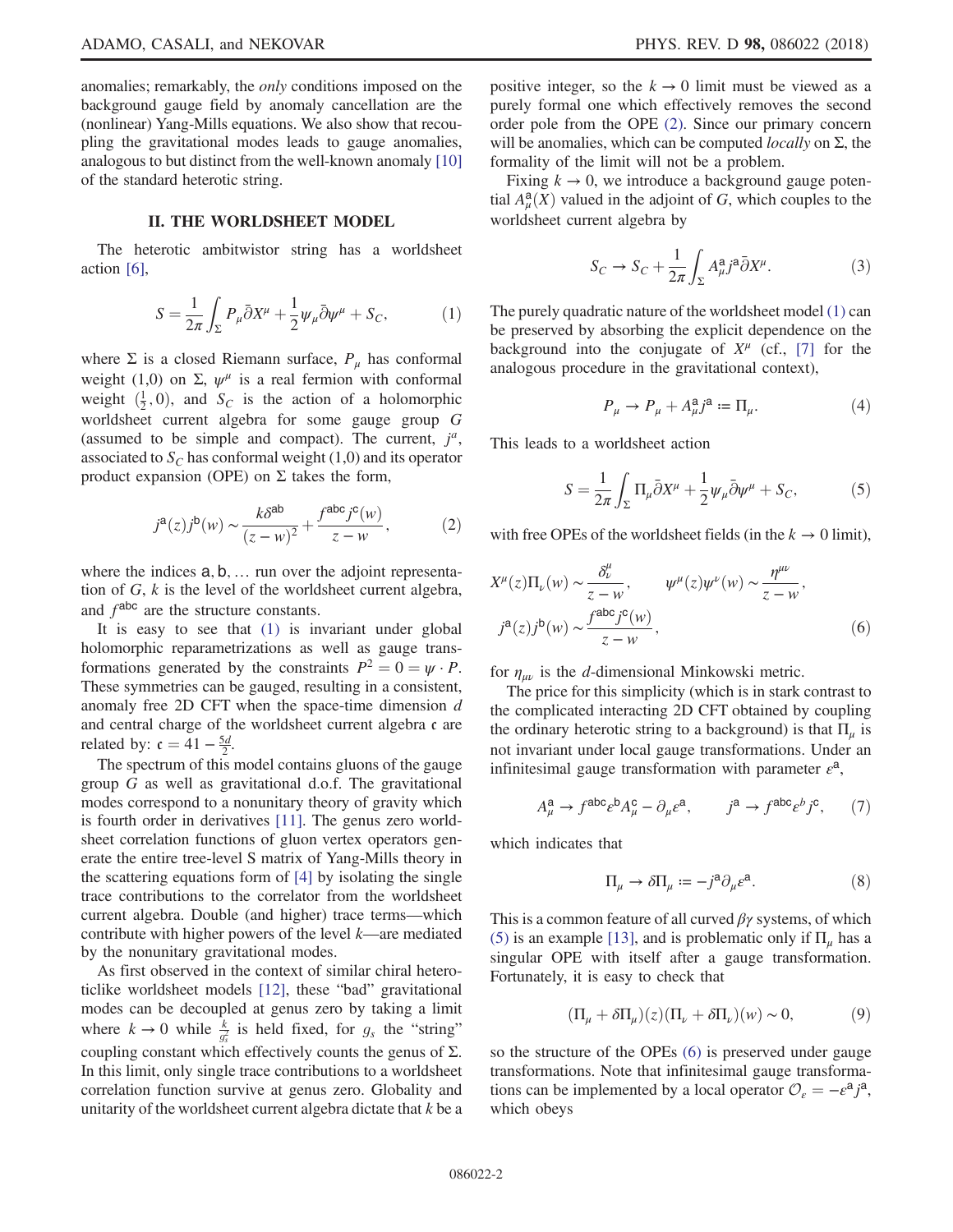anomalies; remarkably, the only conditions imposed on the background gauge field by anomaly cancellation are the (nonlinear) Yang-Mills equations. We also show that recoupling the gravitational modes leads to gauge anomalies, analogous to but distinct from the well-known anomaly [\[10\]](#page-4-6) of the standard heterotic string.

## II. THE WORLDSHEET MODEL

<span id="page-1-0"></span>The heterotic ambitwistor string has a worldsheet action [\[6\]](#page-4-2),

$$
S = \frac{1}{2\pi} \int_{\Sigma} P_{\mu} \bar{\partial} X^{\mu} + \frac{1}{2} \psi_{\mu} \bar{\partial} \psi^{\mu} + S_C, \qquad (1)
$$

where  $\Sigma$  is a closed Riemann surface,  $P_{\mu}$  has conformal weight (1,0) on  $\Sigma$ ,  $\psi^{\mu}$  is a real fermion with conformal weight  $(\frac{1}{2}, 0)$ , and  $S_C$  is the action of a holomorphic worldsheet current algebra for some gauge group G (assumed to be simple and compact). The current,  $j^a$ , associated to  $S_c$  has conformal weight (1,0) and its operator product expansion (OPE) on Σ takes the form,

<span id="page-1-1"></span>
$$
j^{\mathbf{a}}(z)j^{\mathbf{b}}(w) \sim \frac{k\delta^{\mathbf{a}\mathbf{b}}}{(z-w)^2} + \frac{f^{\mathbf{a}\mathbf{b}\mathbf{c}}j^{\mathbf{c}}(w)}{z-w},\tag{2}
$$

where the indices  $a, b, \ldots$  run over the adjoint representation of  $G$ ,  $k$  is the level of the worldsheet current algebra, and  $f<sup>abc</sup>$  are the structure constants.

It is easy to see that  $(1)$  is invariant under global holomorphic reparametrizations as well as gauge transformations generated by the constraints  $P^2 = 0 = \psi \cdot P$ . These symmetries can be gauged, resulting in a consistent, anomaly free 2D CFT when the space-time dimension d and central charge of the worldsheet current algebra c are related by:  $\mathfrak{c} = 41 - \frac{5d}{2}$ .

The spectrum of this model contains gluons of the gauge group G as well as gravitational d.o.f. The gravitational modes correspond to a nonunitary theory of gravity which is fourth order in derivatives [\[11\]](#page-4-7). The genus zero worldsheet correlation functions of gluon vertex operators generate the entire tree-level S matrix of Yang-Mills theory in the scattering equations form of [\[4\]](#page-4-1) by isolating the single trace contributions to the correlator from the worldsheet current algebra. Double (and higher) trace terms—which contribute with higher powers of the level  $k$ —are mediated by the nonunitary gravitational modes.

As first observed in the context of similar chiral heteroticlike worldsheet models [\[12\],](#page-4-8) these "bad" gravitational modes can be decoupled at genus zero by taking a limit where  $k \to 0$  while  $\frac{k}{g_s^2}$  is held fixed, for  $g_s$  the "string" coupling constant which effectively counts the genus of  $\Sigma$ . In this limit, only single trace contributions to a worldsheet correlation function survive at genus zero. Globality and unitarity of the worldsheet current algebra dictate that  $k$  be a positive integer, so the  $k \to 0$  limit must be viewed as a purely formal one which effectively removes the second order pole from the OPE [\(2\)](#page-1-1). Since our primary concern will be anomalies, which can be computed *locally* on  $\Sigma$ , the formality of the limit will not be a problem.

Fixing  $k \to 0$ , we introduce a background gauge potential  $A^{\mathsf{a}}_{\mu}(X)$  valued in the adjoint of G, which couples to the worldsheet current algebra by

$$
S_C \to S_C + \frac{1}{2\pi} \int_{\Sigma} A^{\mathbf{a}}_{\mu} j^{\mathbf{a}} \bar{\partial} X^{\mu}.
$$
 (3)

The purely quadratic nature of the worldsheet model [\(1\)](#page-1-0) can be preserved by absorbing the explicit dependence on the background into the conjugate of  $X^{\mu}$  (cf., [\[7\]](#page-4-3) for the analogous procedure in the gravitational context),

$$
P_{\mu} \to P_{\mu} + A_{\mu}^{\mathbf{a}} j^{\mathbf{a}} := \Pi_{\mu}.
$$
 (4)

<span id="page-1-2"></span>This leads to a worldsheet action

$$
S = \frac{1}{2\pi} \int_{\Sigma} \Pi_{\mu} \bar{\partial} X^{\mu} + \frac{1}{2} \psi_{\mu} \bar{\partial} \psi^{\mu} + S_C, \tag{5}
$$

<span id="page-1-3"></span>with free OPEs of the worldsheet fields (in the  $k \to 0$  limit),

$$
X^{\mu}(z)\Pi_{\nu}(w) \sim \frac{\delta_{\nu}^{\mu}}{z - w}, \qquad \psi^{\mu}(z)\psi^{\nu}(w) \sim \frac{\eta^{\mu\nu}}{z - w},
$$
  

$$
j^{a}(z)j^{b}(w) \sim \frac{f^{abc}j^{c}(w)}{z - w},
$$
 (6)

for  $\eta_{\mu\nu}$  is the *d*-dimensional Minkowski metric.

The price for this simplicity (which is in stark contrast to the complicated interacting 2D CFT obtained by coupling the ordinary heterotic string to a background) is that  $\Pi_{\mu}$  is not invariant under local gauge transformations. Under an infinitesimal gauge transformation with parameter  $\varepsilon^a$ ,

$$
A^{\mathbf{a}}_{\mu} \to f^{\mathbf{a}\mathbf{b}\mathbf{c}} \varepsilon^{\mathbf{b}} A^{\mathbf{c}}_{\mu} - \partial_{\mu} \varepsilon^{\mathbf{a}}, \qquad j^{\mathbf{a}} \to f^{\mathbf{a}\mathbf{b}\mathbf{c}} \varepsilon^{\mathbf{b}} j^{\mathbf{c}}, \qquad (7)
$$

which indicates that

$$
\Pi_{\mu} \to \delta \Pi_{\mu} := -j^{\mathbf{a}} \partial_{\mu} \varepsilon^{\mathbf{a}}.
$$
 (8)

This is a common feature of all curved  $\beta\gamma$  systems, of which [\(5\)](#page-1-2) is an example [\[13\],](#page-4-9) and is problematic only if  $\Pi_u$  has a singular OPE with itself after a gauge transformation. Fortunately, it is easy to check that

$$
(\Pi_{\mu} + \delta \Pi_{\mu})(z)(\Pi_{\nu} + \delta \Pi_{\nu})(w) \sim 0, \tag{9}
$$

so the structure of the OPEs [\(6\)](#page-1-3) is preserved under gauge transformations. Note that infinitesimal gauge transformations can be implemented by a local operator  $\mathcal{O}_{\varepsilon} = -\varepsilon^{\mathfrak{a}}j^{\mathfrak{a}}$ , which obeys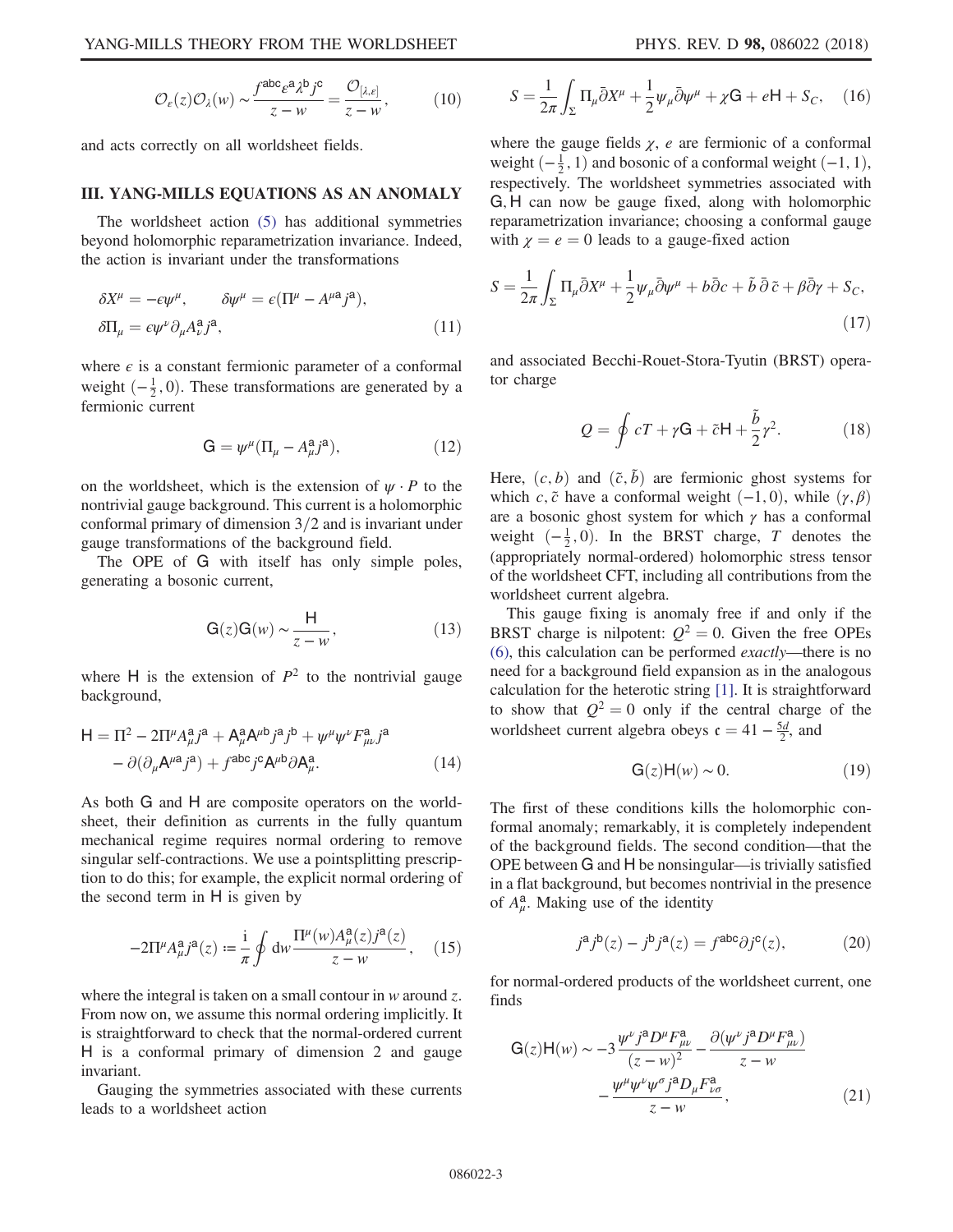$$
\mathcal{O}_{\varepsilon}(z)\mathcal{O}_{\lambda}(w) \sim \frac{f^{\text{abc}}\varepsilon^{\text{a}}\lambda^{\text{b}}j^{\text{c}}}{z-w} = \frac{\mathcal{O}_{[\lambda,\varepsilon]}}{z-w},\tag{10}
$$

and acts correctly on all worldsheet fields.

#### III. YANG-MILLS EQUATIONS AS AN ANOMALY

The worldsheet action [\(5\)](#page-1-2) has additional symmetries beyond holomorphic reparametrization invariance. Indeed, the action is invariant under the transformations

$$
\delta X^{\mu} = -\epsilon \psi^{\mu}, \qquad \delta \psi^{\mu} = \epsilon (\Pi^{\mu} - A^{\mu a} j^{a}),
$$
  
\n
$$
\delta \Pi_{\mu} = \epsilon \psi^{\nu} \partial_{\mu} A_{\nu}^{a} j^{a}, \qquad (11)
$$

where  $\epsilon$  is a constant fermionic parameter of a conformal weight  $\left(-\frac{1}{2}, 0\right)$ . These transformations are generated by a fermionic current

$$
\mathbf{G} = \psi^{\mu} (\Pi_{\mu} - A_{\mu}^{a} j^{a}), \qquad (12)
$$

on the worldsheet, which is the extension of  $\psi \cdot P$  to the nontrivial gauge background. This current is a holomorphic conformal primary of dimension  $3/2$  and is invariant under gauge transformations of the background field.

The OPE of G with itself has only simple poles, generating a bosonic current,

$$
G(z)G(w) \sim \frac{H}{z-w},\tag{13}
$$

where H is the extension of  $P^2$  to the nontrivial gauge background,

$$
H = \Pi^2 - 2\Pi^{\mu}A^{\mathbf{a}}_{\mu}j^{\mathbf{a}} + A^{\mathbf{a}}_{\mu}A^{\mu}j^{\mathbf{a}}j^{\mathbf{b}} + \psi^{\mu}\psi^{\nu}F^{\mathbf{a}}_{\mu\nu}j^{\mathbf{a}}
$$

$$
- \partial(\partial_{\mu}A^{\mu\mathbf{a}}j^{\mathbf{a}}) + f^{\text{abc}}j^{\text{c}}A^{\mu\text{b}}\partial A^{\mathbf{a}}_{\mu}.
$$
(14)

As both G and H are composite operators on the worldsheet, their definition as currents in the fully quantum mechanical regime requires normal ordering to remove singular self-contractions. We use a pointsplitting prescription to do this; for example, the explicit normal ordering of the second term in H is given by

$$
-2\Pi^{\mu}A_{\mu}^{\mathbf{a}}j^{\mathbf{a}}(z) := \frac{\mathrm{i}}{\pi} \oint \mathrm{d}w \frac{\Pi^{\mu}(w)A_{\mu}^{\mathbf{a}}(z)j^{\mathbf{a}}(z)}{z - w},\quad(15)
$$

where the integral is taken on a small contour in  $w$  around z. From now on, we assume this normal ordering implicitly. It is straightforward to check that the normal-ordered current H is a conformal primary of dimension 2 and gauge invariant.

Gauging the symmetries associated with these currents leads to a worldsheet action

$$
S = \frac{1}{2\pi} \int_{\Sigma} \Pi_{\mu} \bar{\partial} X^{\mu} + \frac{1}{2} \Psi_{\mu} \bar{\partial} \psi^{\mu} + \chi \mathsf{G} + e\mathsf{H} + S_C, \quad (16)
$$

where the gauge fields  $\chi$ , *e* are fermionic of a conformal weight  $\left(-\frac{1}{2}, 1\right)$  and bosonic of a conformal weight  $\left(-1, 1\right)$ , respectively. The worldsheet symmetries associated with G; H can now be gauge fixed, along with holomorphic reparametrization invariance; choosing a conformal gauge with  $\chi = e = 0$  leads to a gauge-fixed action

$$
S = \frac{1}{2\pi} \int_{\Sigma} \Pi_{\mu} \bar{\partial} X^{\mu} + \frac{1}{2} \psi_{\mu} \bar{\partial} \psi^{\mu} + b \bar{\partial} c + \tilde{b} \bar{\partial} \tilde{c} + \beta \bar{\partial} \gamma + S_C,
$$
\n(17)

and associated Becchi-Rouet-Stora-Tyutin (BRST) operator charge

$$
Q = \oint cT + \gamma G + \tilde{c}H + \frac{\tilde{b}}{2}\gamma^2.
$$
 (18)

Here,  $(c, b)$  and  $(\tilde{c}, \tilde{b})$  are fermionic ghost systems for which c,  $\tilde{c}$  have a conformal weight  $(-1, 0)$ , while  $(\gamma, \beta)$ are a bosonic ghost system for which  $\gamma$  has a conformal weight  $\left(-\frac{1}{2}, 0\right)$ . In the BRST charge, T denotes the (appropriately normal-ordered) holomorphic stress tensor of the worldsheet CFT, including all contributions from the worldsheet current algebra.

<span id="page-2-0"></span>This gauge fixing is anomaly free if and only if the BRST charge is nilpotent:  $Q^2 = 0$ . Given the free OPEs [\(6\)](#page-1-3), this calculation can be performed exactly—there is no need for a background field expansion as in the analogous calculation for the heterotic string [\[1\].](#page-4-0) It is straightforward to show that  $Q^2 = 0$  only if the central charge of the worldsheet current algebra obeys  $\mathfrak{c} = 41 - \frac{5d}{2}$ , and

$$
G(z)H(w) \sim 0. \tag{19}
$$

The first of these conditions kills the holomorphic conformal anomaly; remarkably, it is completely independent of the background fields. The second condition—that the OPE between G and H be nonsingular—is trivially satisfied in a flat background, but becomes nontrivial in the presence of  $A_{\mu}^{\mathsf{a}}$ . Making use of the identity

$$
j^{\mathbf{a}}j^{\mathbf{b}}(z) - j^{\mathbf{b}}j^{\mathbf{a}}(z) = f^{\mathbf{a}\mathbf{b}\mathbf{c}}\partial j^{\mathbf{c}}(z),\tag{20}
$$

for normal-ordered products of the worldsheet current, one finds

$$
G(z)H(w) \sim -3\frac{\psi^{\nu}j^{a}D^{\mu}F_{\mu\nu}^{a}}{(z-w)^{2}} - \frac{\partial(\psi^{\nu}j^{a}D^{\mu}F_{\mu\nu}^{a})}{z-w} - \frac{\psi^{\mu}\psi^{\nu}\psi^{\sigma}j^{a}D_{\mu}F_{\nu\sigma}^{a}}{z-w},
$$
\n(21)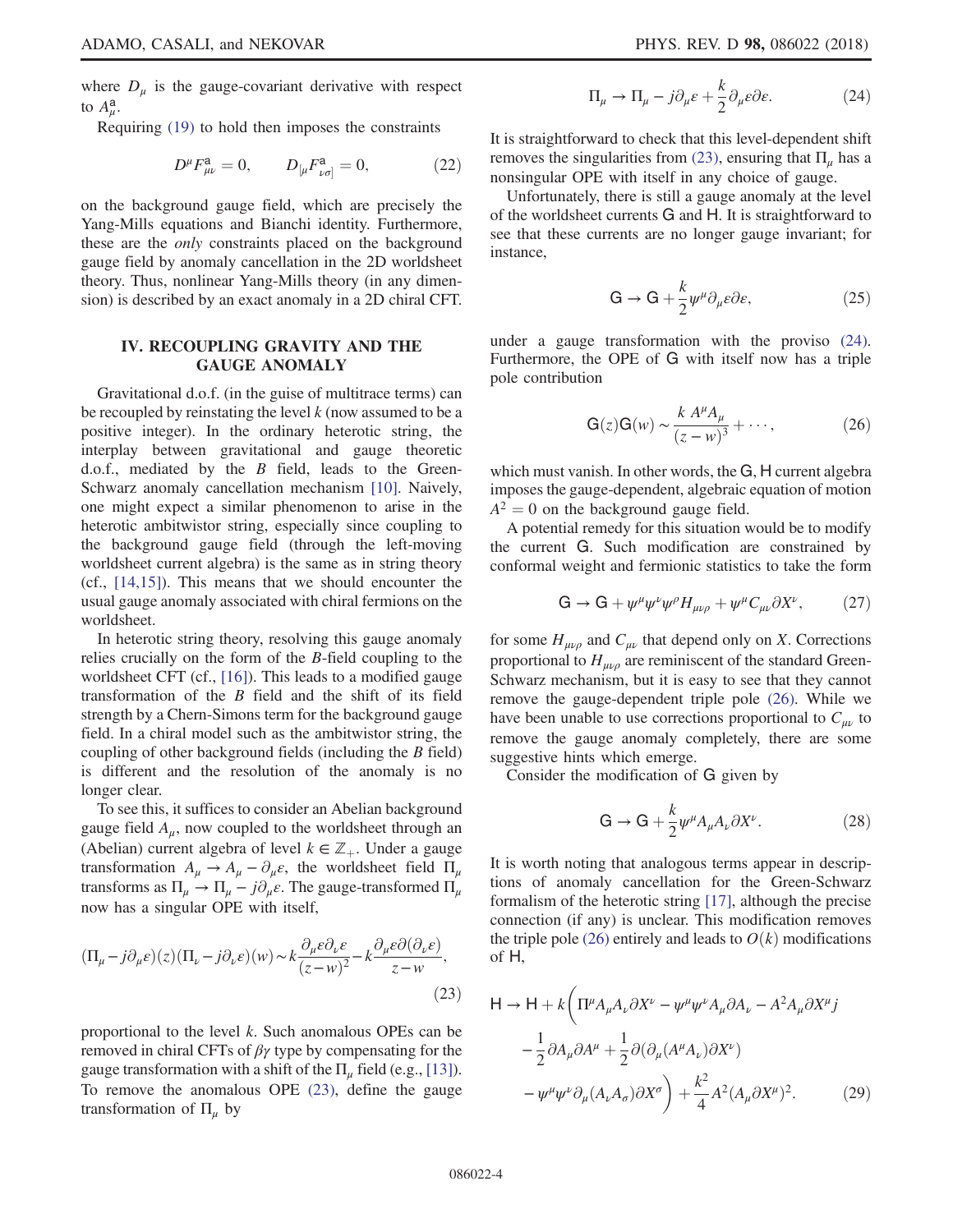where  $D_{\mu}$  is the gauge-covariant derivative with respect to  $A^{\mathsf{a}}_{\mu}$ .

Requiring [\(19\)](#page-2-0) to hold then imposes the constraints

$$
D^{\mu}F^{\mathbf{a}}_{\mu\nu} = 0, \qquad D_{[\mu}F^{\mathbf{a}}_{\nu\sigma]} = 0, \tag{22}
$$

on the background gauge field, which are precisely the Yang-Mills equations and Bianchi identity. Furthermore, these are the *only* constraints placed on the background gauge field by anomaly cancellation in the 2D worldsheet theory. Thus, nonlinear Yang-Mills theory (in any dimension) is described by an exact anomaly in a 2D chiral CFT.

# IV. RECOUPLING GRAVITY AND THE GAUGE ANOMALY

Gravitational d.o.f. (in the guise of multitrace terms) can be recoupled by reinstating the level  $k$  (now assumed to be a positive integer). In the ordinary heterotic string, the interplay between gravitational and gauge theoretic d.o.f., mediated by the  $B$  field, leads to the Green-Schwarz anomaly cancellation mechanism [\[10\].](#page-4-6) Naively, one might expect a similar phenomenon to arise in the heterotic ambitwistor string, especially since coupling to the background gauge field (through the left-moving worldsheet current algebra) is the same as in string theory (cf., [\[14,15\]\)](#page-4-10). This means that we should encounter the usual gauge anomaly associated with chiral fermions on the worldsheet.

In heterotic string theory, resolving this gauge anomaly relies crucially on the form of the B-field coupling to the worldsheet CFT (cf., [\[16\]](#page-4-11)). This leads to a modified gauge transformation of the B field and the shift of its field strength by a Chern-Simons term for the background gauge field. In a chiral model such as the ambitwistor string, the coupling of other background fields (including the B field) is different and the resolution of the anomaly is no longer clear.

To see this, it suffices to consider an Abelian background gauge field  $A_{\mu}$ , now coupled to the worldsheet through an (Abelian) current algebra of level  $k \in \mathbb{Z}_+$ . Under a gauge transformation  $A_{\mu} \rightarrow A_{\mu} - \partial_{\mu} \varepsilon$ , the worldsheet field  $\Pi_{\mu}$ transforms as  $\Pi_{\mu} \to \Pi_{\mu} - j \partial_{\mu} \varepsilon$ . The gauge-transformed  $\Pi_{\mu}$ now has a singular OPE with itself,

<span id="page-3-0"></span>
$$
(\Pi_{\mu} - j\partial_{\mu}\varepsilon)(z)(\Pi_{\nu} - j\partial_{\nu}\varepsilon)(w) \sim k \frac{\partial_{\mu}\varepsilon \partial_{\nu}\varepsilon}{(z - w)^{2}} - k \frac{\partial_{\mu}\varepsilon \partial(\partial_{\nu}\varepsilon)}{z - w},
$$
\n(23)

<span id="page-3-1"></span>proportional to the level  $k$ . Such anomalous OPEs can be removed in chiral CFTs of  $\beta\gamma$  type by compensating for the gauge transformation with a shift of the  $\Pi_u$  field (e.g., [\[13\]](#page-4-9)). To remove the anomalous OPE [\(23\)](#page-3-0), define the gauge transformation of  $\Pi_{\mu}$  by

$$
\Pi_{\mu} \to \Pi_{\mu} - j\partial_{\mu}\varepsilon + \frac{k}{2}\partial_{\mu}\varepsilon \partial \varepsilon. \tag{24}
$$

It is straightforward to check that this level-dependent shift removes the singularities from [\(23\),](#page-3-0) ensuring that  $\Pi_{\mu}$  has a nonsingular OPE with itself in any choice of gauge.

Unfortunately, there is still a gauge anomaly at the level of the worldsheet currents G and H. It is straightforward to see that these currents are no longer gauge invariant; for instance,

$$
G \to G + \frac{k}{2} \psi^{\mu} \partial_{\mu} \varepsilon \partial \varepsilon, \tag{25}
$$

<span id="page-3-2"></span>under a gauge transformation with the proviso [\(24\)](#page-3-1). Furthermore, the OPE of G with itself now has a triple pole contribution

$$
G(z)G(w) \sim \frac{k A^{\mu}A_{\mu}}{(z-w)^{3}} + \cdots,
$$
 (26)

which must vanish. In other words, the G, H current algebra imposes the gauge-dependent, algebraic equation of motion  $A^2 = 0$  on the background gauge field.

<span id="page-3-3"></span>A potential remedy for this situation would be to modify the current G. Such modification are constrained by conformal weight and fermionic statistics to take the form

$$
G \to G + \psi^{\mu} \psi^{\nu} \psi^{\rho} H_{\mu\nu\rho} + \psi^{\mu} C_{\mu\nu} \partial X^{\nu}, \qquad (27)
$$

for some  $H_{\mu\nu\rho}$  and  $C_{\mu\nu}$  that depend only on X. Corrections proportional to  $H_{\mu\nu\rho}$  are reminiscent of the standard Green-Schwarz mechanism, but it is easy to see that they cannot remove the gauge-dependent triple pole [\(26\).](#page-3-2) While we have been unable to use corrections proportional to  $C_{\mu\nu}$  to remove the gauge anomaly completely, there are some suggestive hints which emerge.

Consider the modification of G given by

$$
G \to G + \frac{k}{2} \psi^{\mu} A_{\mu} A_{\nu} \partial X^{\nu}.
$$
 (28)

It is worth noting that analogous terms appear in descriptions of anomaly cancellation for the Green-Schwarz formalism of the heterotic string [\[17\]](#page-4-12), although the precise connection (if any) is unclear. This modification removes the triple pole [\(26\)](#page-3-2) entirely and leads to  $O(k)$  modifications of H,

$$
\begin{split} \mathsf{H} &\rightarrow \mathsf{H} + k \bigg( \Pi^{\mu} A_{\mu} A_{\nu} \partial X^{\nu} - \psi^{\mu} \psi^{\nu} A_{\mu} \partial A_{\nu} - A^{2} A_{\mu} \partial X^{\mu} j \\ &- \frac{1}{2} \partial A_{\mu} \partial A^{\mu} + \frac{1}{2} \partial (\partial_{\mu} (A^{\mu} A_{\nu}) \partial X^{\nu}) \\ &- \psi^{\mu} \psi^{\nu} \partial_{\mu} (A_{\nu} A_{\sigma}) \partial X^{\sigma} \bigg) + \frac{k^{2}}{4} A^{2} (A_{\mu} \partial X^{\mu})^{2}. \end{split} \tag{29}
$$